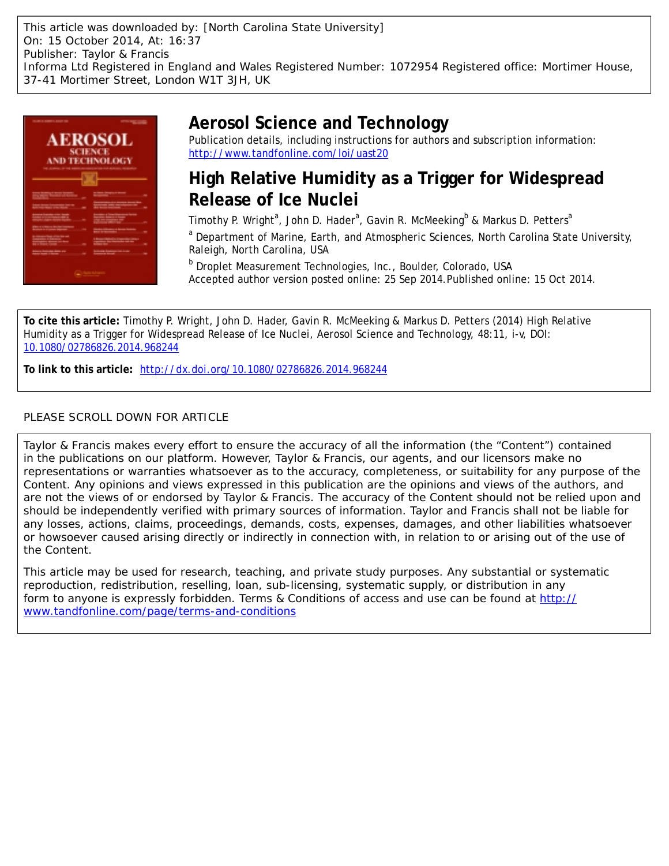This article was downloaded by: [North Carolina State University] On: 15 October 2014, At: 16:37 Publisher: Taylor & Francis Informa Ltd Registered in England and Wales Registered Number: 1072954 Registered office: Mortimer House, 37-41 Mortimer Street, London W1T 3JH, UK



# **Aerosol Science and Technology**

Publication details, including instructions for authors and subscription information: <http://www.tandfonline.com/loi/uast20>

# **High Relative Humidity as a Trigger for Widespread Release of Ice Nuclei**

Timothy P. Wright<sup>a</sup>, John D. Hader<sup>a</sup>, Gavin R. McMeeking<sup>b</sup> & Markus D. Petters<sup>a</sup>

<sup>a</sup> Department of Marine, Earth, and Atmospheric Sciences, North Carolina State University, Raleigh, North Carolina, USA

**b** Droplet Measurement Technologies, Inc., Boulder, Colorado, USA Accepted author version posted online: 25 Sep 2014.Published online: 15 Oct 2014.

**To cite this article:** Timothy P. Wright, John D. Hader, Gavin R. McMeeking & Markus D. Petters (2014) High Relative Humidity as a Trigger for Widespread Release of Ice Nuclei, Aerosol Science and Technology, 48:11, i-v, DOI: [10.1080/02786826.2014.968244](http://www.tandfonline.com/action/showCitFormats?doi=10.1080/02786826.2014.968244)

**To link to this article:** <http://dx.doi.org/10.1080/02786826.2014.968244>

## PLEASE SCROLL DOWN FOR ARTICLE

Taylor & Francis makes every effort to ensure the accuracy of all the information (the "Content") contained in the publications on our platform. However, Taylor & Francis, our agents, and our licensors make no representations or warranties whatsoever as to the accuracy, completeness, or suitability for any purpose of the Content. Any opinions and views expressed in this publication are the opinions and views of the authors, and are not the views of or endorsed by Taylor & Francis. The accuracy of the Content should not be relied upon and should be independently verified with primary sources of information. Taylor and Francis shall not be liable for any losses, actions, claims, proceedings, demands, costs, expenses, damages, and other liabilities whatsoever or howsoever caused arising directly or indirectly in connection with, in relation to or arising out of the use of the Content.

This article may be used for research, teaching, and private study purposes. Any substantial or systematic reproduction, redistribution, reselling, loan, sub-licensing, systematic supply, or distribution in any form to anyone is expressly forbidden. Terms & Conditions of access and use can be found at [http://](http://www.tandfonline.com/page/terms-and-conditions) [www.tandfonline.com/page/terms-and-conditions](http://www.tandfonline.com/page/terms-and-conditions)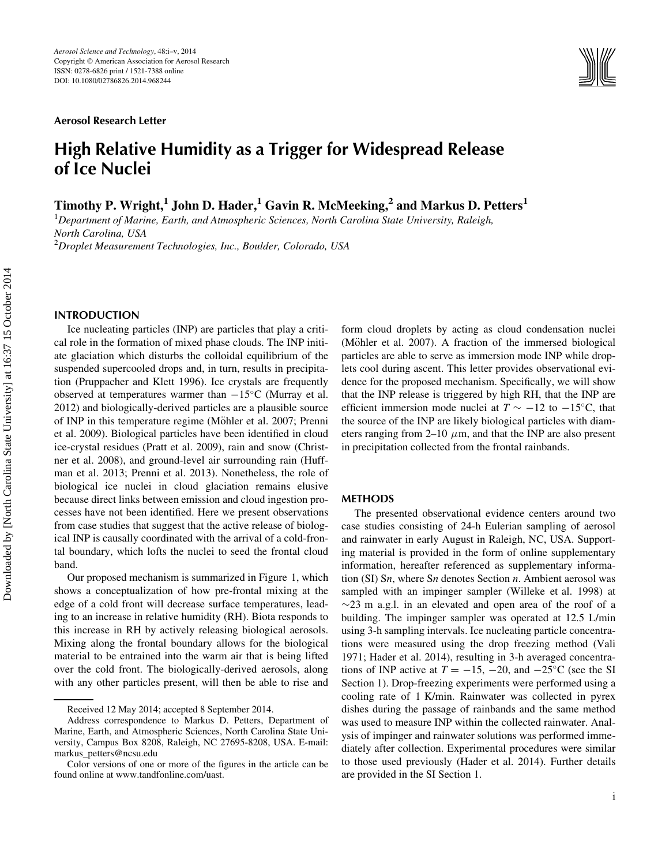Aerosol Research Letter



# High Relative Humidity as a Trigger for Widespread Release of Ice Nuclei

Timothy P. Wright,<sup>1</sup> John D. Hader,<sup>1</sup> Gavin R. McMeeking,<sup>2</sup> and Markus D. Petters<sup>1</sup>

 ${}^{1}$ Department of Marine, Earth, and Atmospheric Sciences, North Carolina State University, Raleigh, North Carolina, USA  $^{2}$ Droplet Measurement Technologies, Inc., Boulder, Colorado, USA

### INTRODUCTION

Ice nucleating particles (INP) are particles that play a critical role in the formation of mixed phase clouds. The INP initiate glaciation which disturbs the colloidal equilibrium of the suspended supercooled drops and, in turn, results in precipitation (Pruppacher and Klett 1996). Ice crystals are frequently observed at temperatures warmer than  $-15^{\circ}$ C (Murray et al. 2012) and biologically-derived particles are a plausible source of INP in this temperature regime (Möhler et al. 2007; Prenni et al. 2009). Biological particles have been identified in cloud ice-crystal residues (Pratt et al. 2009), rain and snow (Christner et al. 2008), and ground-level air surrounding rain (Huffman et al. 2013; Prenni et al. 2013). Nonetheless, the role of biological ice nuclei in cloud glaciation remains elusive because direct links between emission and cloud ingestion processes have not been identified. Here we present observations from case studies that suggest that the active release of biological INP is causally coordinated with the arrival of a cold-frontal boundary, which lofts the nuclei to seed the frontal cloud band.

Our proposed mechanism is summarized in Figure 1, which shows a conceptualization of how pre-frontal mixing at the edge of a cold front will decrease surface temperatures, leading to an increase in relative humidity (RH). Biota responds to this increase in RH by actively releasing biological aerosols. Mixing along the frontal boundary allows for the biological material to be entrained into the warm air that is being lifted over the cold front. The biologically-derived aerosols, along with any other particles present, will then be able to rise and form cloud droplets by acting as cloud condensation nuclei (Möhler et al. 2007). A fraction of the immersed biological particles are able to serve as immersion mode INP while droplets cool during ascent. This letter provides observational evidence for the proposed mechanism. Specifically, we will show that the INP release is triggered by high RH, that the INP are efficient immersion mode nuclei at  $T \sim -12$  to  $-15^{\circ}\text{C}$ , that the source of the INP are likely biological particles with diameters ranging from 2–10  $\mu$ m, and that the INP are also present in precipitation collected from the frontal rainbands.

#### METHODS

The presented observational evidence centers around two case studies consisting of 24-h Eulerian sampling of aerosol and rainwater in early August in Raleigh, NC, USA. Supporting material is provided in the form of online supplementary information, hereafter referenced as supplementary information (SI) Sn, where Sn denotes Section n. Ambient aerosol was sampled with an impinger sampler (Willeke et al. 1998) at  $\sim$ 23 m a.g.l. in an elevated and open area of the roof of a building. The impinger sampler was operated at 12.5 L/min using 3-h sampling intervals. Ice nucleating particle concentrations were measured using the drop freezing method (Vali 1971; Hader et al. 2014), resulting in 3-h averaged concentrations of INP active at  $T = -15$ ,  $-20$ , and  $-25^{\circ}$ C (see the SI Section 1). Drop-freezing experiments were performed using a cooling rate of 1 K/min. Rainwater was collected in pyrex dishes during the passage of rainbands and the same method was used to measure INP within the collected rainwater. Analysis of impinger and rainwater solutions was performed immediately after collection. Experimental procedures were similar to those used previously (Hader et al. 2014). Further details are provided in the SI Section 1.

Received 12 May 2014; accepted 8 September 2014.

Address correspondence to Markus D. Petters, Department of Marine, Earth, and Atmospheric Sciences, North Carolina State University, Campus Box 8208, Raleigh, NC 27695-8208, USA. E-mail: markus\_petters@ncsu.edu

Color versions of one or more of the figures in the article can be found online at www.tandfonline.com/uast.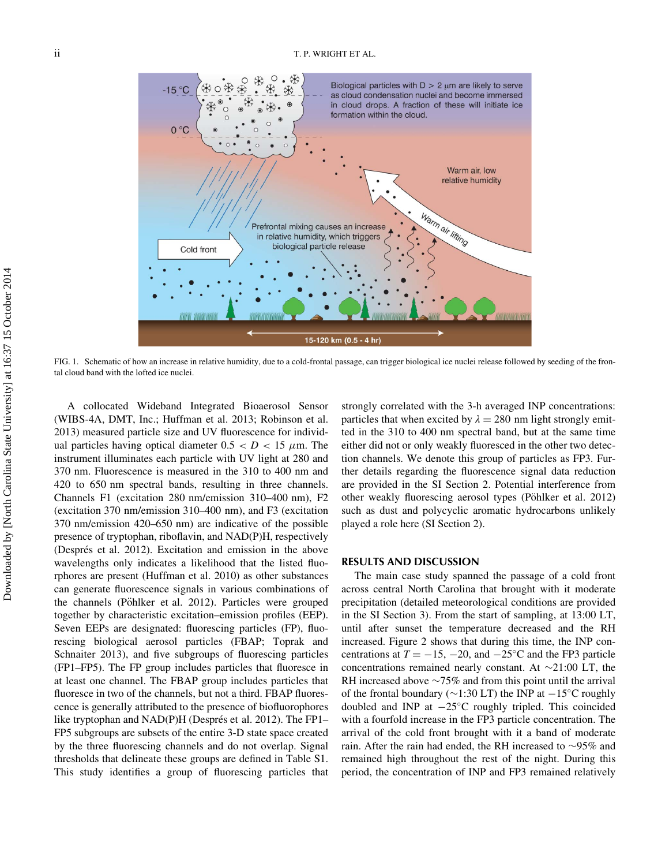

FIG. 1. Schematic of how an increase in relative humidity, due to a cold-frontal passage, can trigger biological ice nuclei release followed by seeding of the frontal cloud band with the lofted ice nuclei.

A collocated Wideband Integrated Bioaerosol Sensor (WIBS-4A, DMT, Inc.; Huffman et al. 2013; Robinson et al. 2013) measured particle size and UV fluorescence for individual particles having optical diameter  $0.5 < D < 15 \mu$ m. The instrument illuminates each particle with UV light at 280 and 370 nm. Fluorescence is measured in the 310 to 400 nm and 420 to 650 nm spectral bands, resulting in three channels. Channels F1 (excitation 280 nm/emission 310–400 nm), F2 (excitation 370 nm/emission 310–400 nm), and F3 (excitation 370 nm/emission 420–650 nm) are indicative of the possible presence of tryptophan, riboflavin, and NAD(P)H, respectively (Després et al. 2012). Excitation and emission in the above wavelengths only indicates a likelihood that the listed fluorphores are present (Huffman et al. 2010) as other substances can generate fluorescence signals in various combinations of the channels (Pöhlker et al. 2012). Particles were grouped together by characteristic excitation–emission profiles (EEP). Seven EEPs are designated: fluorescing particles (FP), fluorescing biological aerosol particles (FBAP; Toprak and Schnaiter 2013), and five subgroups of fluorescing particles (FP1–FP5). The FP group includes particles that fluoresce in at least one channel. The FBAP group includes particles that fluoresce in two of the channels, but not a third. FBAP fluorescence is generally attributed to the presence of biofluorophores like tryptophan and NAD(P)H (Després et al. 2012). The FP1– FP5 subgroups are subsets of the entire 3-D state space created by the three fluorescing channels and do not overlap. Signal thresholds that delineate these groups are defined in Table S1. This study identifies a group of fluorescing particles that strongly correlated with the 3-h averaged INP concentrations: particles that when excited by  $\lambda = 280$  nm light strongly emitted in the 310 to 400 nm spectral band, but at the same time either did not or only weakly fluoresced in the other two detection channels. We denote this group of particles as FP3. Further details regarding the fluorescence signal data reduction are provided in the SI Section 2. Potential interference from other weakly fluorescing aerosol types (Pöhlker et al. 2012) such as dust and polycyclic aromatic hydrocarbons unlikely played a role here (SI Section 2).

#### RESULTS AND DISCUSSION

The main case study spanned the passage of a cold front across central North Carolina that brought with it moderate precipitation (detailed meteorological conditions are provided in the SI Section 3). From the start of sampling, at 13:00 LT, until after sunset the temperature decreased and the RH increased. Figure 2 shows that during this time, the INP concentrations at  $T = -15$ ,  $-20$ , and  $-25^{\circ}$ C and the FP3 particle concentrations remained nearly constant. At  $\sim$ 21:00 LT, the RH increased above  $\sim$ 75% and from this point until the arrival of the frontal boundary ( $\sim$ 1:30 LT) the INP at  $-15^{\circ}$ C roughly doubled and INP at  $-25^{\circ}$ C roughly tripled. This coincided with a fourfold increase in the FP3 particle concentration. The arrival of the cold front brought with it a band of moderate rain. After the rain had ended, the RH increased to  $\sim$ 95% and remained high throughout the rest of the night. During this period, the concentration of INP and FP3 remained relatively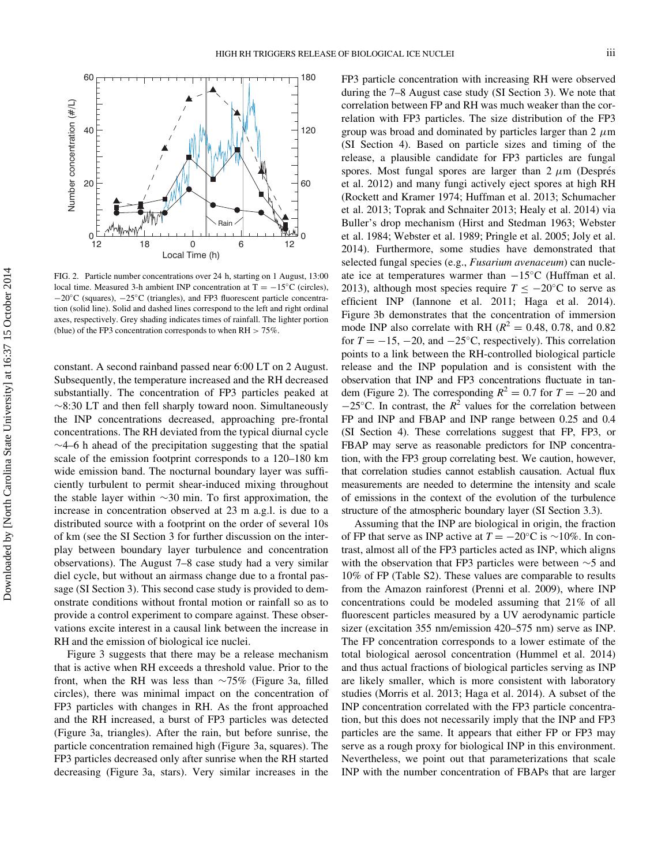

FIG. 2. Particle number concentrations over 24 h, starting on 1 August, 13:00 local time. Measured 3-h ambient INP concentration at  $T = -15^{\circ}C$  (circles),  $-20^{\circ}$ C (squares),  $-25^{\circ}$ C (triangles), and FP3 fluorescent particle concentration (solid line). Solid and dashed lines correspond to the left and right ordinal axes, respectively. Grey shading indicates times of rainfall. The lighter portion (blue) of the FP3 concentration corresponds to when  $RH > 75\%$ .

constant. A second rainband passed near 6:00 LT on 2 August. Subsequently, the temperature increased and the RH decreased substantially. The concentration of FP3 particles peaked at  $\sim$ 8:30 LT and then fell sharply toward noon. Simultaneously the INP concentrations decreased, approaching pre-frontal concentrations. The RH deviated from the typical diurnal cycle  $\sim$ 4–6 h ahead of the precipitation suggesting that the spatial scale of the emission footprint corresponds to a 120–180 km wide emission band. The nocturnal boundary layer was sufficiently turbulent to permit shear-induced mixing throughout the stable layer within  $\sim$ 30 min. To first approximation, the increase in concentration observed at 23 m a.g.l. is due to a distributed source with a footprint on the order of several 10s of km (see the SI Section 3 for further discussion on the interplay between boundary layer turbulence and concentration observations). The August 7–8 case study had a very similar diel cycle, but without an airmass change due to a frontal passage (SI Section 3). This second case study is provided to demonstrate conditions without frontal motion or rainfall so as to provide a control experiment to compare against. These observations excite interest in a causal link between the increase in RH and the emission of biological ice nuclei.

Figure 3 suggests that there may be a release mechanism that is active when RH exceeds a threshold value. Prior to the front, when the RH was less than  $\sim$ 75% (Figure 3a, filled circles), there was minimal impact on the concentration of FP3 particles with changes in RH. As the front approached and the RH increased, a burst of FP3 particles was detected (Figure 3a, triangles). After the rain, but before sunrise, the particle concentration remained high (Figure 3a, squares). The FP3 particles decreased only after sunrise when the RH started decreasing (Figure 3a, stars). Very similar increases in the

FP3 particle concentration with increasing RH were observed during the 7–8 August case study (SI Section 3). We note that correlation between FP and RH was much weaker than the correlation with FP3 particles. The size distribution of the FP3 group was broad and dominated by particles larger than  $2 \mu m$ (SI Section 4). Based on particle sizes and timing of the release, a plausible candidate for FP3 particles are fungal spores. Most fungal spores are larger than  $2 \mu m$  (Després et al. 2012) and many fungi actively eject spores at high RH (Rockett and Kramer 1974; Huffman et al. 2013; Schumacher et al. 2013; Toprak and Schnaiter 2013; Healy et al. 2014) via Buller's drop mechanism (Hirst and Stedman 1963; Webster et al. 1984; Webster et al. 1989; Pringle et al. 2005; Joly et al. 2014). Furthermore, some studies have demonstrated that selected fungal species (e.g., Fusarium avenaceum) can nucleate ice at temperatures warmer than  $-15^{\circ}C$  (Huffman et al. 2013), although most species require  $T \le -20^{\circ}$ C to serve as efficient INP (Iannone et al. 2011; Haga et al. 2014). Figure 3b demonstrates that the concentration of immersion mode INP also correlate with RH ( $R^2 = 0.48$ , 0.78, and 0.82 for  $T = -15, -20,$  and  $-25^{\circ}$ C, respectively). This correlation points to a link between the RH-controlled biological particle release and the INP population and is consistent with the observation that INP and FP3 concentrations fluctuate in tandem (Figure 2). The corresponding  $R^2 = 0.7$  for  $T = -20$  and  $-25^{\circ}$ C. In contrast, the  $R^2$  values for the correlation between FP and INP and FBAP and INP range between 0.25 and 0.4 (SI Section 4). These correlations suggest that FP, FP3, or FBAP may serve as reasonable predictors for INP concentration, with the FP3 group correlating best. We caution, however, that correlation studies cannot establish causation. Actual flux measurements are needed to determine the intensity and scale of emissions in the context of the evolution of the turbulence structure of the atmospheric boundary layer (SI Section 3.3).

Assuming that the INP are biological in origin, the fraction of FP that serve as INP active at  $T = -20^{\circ}\text{C}$  is  $\sim 10\%$ . In contrast, almost all of the FP3 particles acted as INP, which aligns with the observation that FP3 particles were between  $\sim$  5 and 10% of FP (Table S2). These values are comparable to results from the Amazon rainforest (Prenni et al. 2009), where INP concentrations could be modeled assuming that 21% of all fluorescent particles measured by a UV aerodynamic particle sizer (excitation 355 nm/emission 420–575 nm) serve as INP. The FP concentration corresponds to a lower estimate of the total biological aerosol concentration (Hummel et al. 2014) and thus actual fractions of biological particles serving as INP are likely smaller, which is more consistent with laboratory studies (Morris et al. 2013; Haga et al. 2014). A subset of the INP concentration correlated with the FP3 particle concentration, but this does not necessarily imply that the INP and FP3 particles are the same. It appears that either FP or FP3 may serve as a rough proxy for biological INP in this environment. Nevertheless, we point out that parameterizations that scale INP with the number concentration of FBAPs that are larger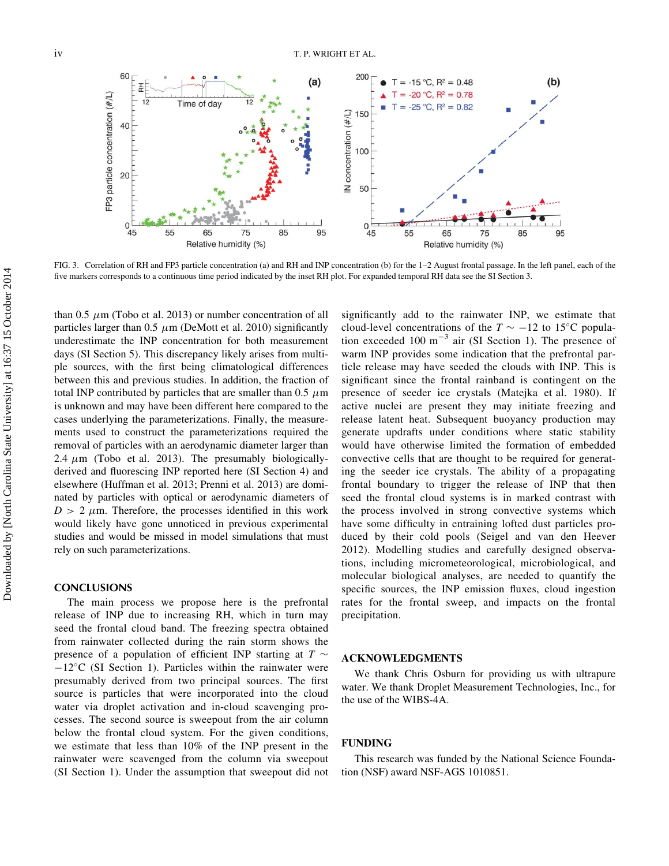

FIG. 3. Correlation of RH and FP3 particle concentration (a) and RH and INP concentration (b) for the 1–2 August frontal passage. In the left panel, each of the five markers corresponds to a continuous time period indicated by the inset RH plot. For expanded temporal RH data see the SI Section 3.

than 0.5  $\mu$ m (Tobo et al. 2013) or number concentration of all particles larger than  $0.5 \mu m$  (DeMott et al. 2010) significantly underestimate the INP concentration for both measurement days (SI Section 5). This discrepancy likely arises from multiple sources, with the first being climatological differences between this and previous studies. In addition, the fraction of total INP contributed by particles that are smaller than 0.5  $\mu$ m is unknown and may have been different here compared to the cases underlying the parameterizations. Finally, the measurements used to construct the parameterizations required the removal of particles with an aerodynamic diameter larger than 2.4  $\mu$ m (Tobo et al. 2013). The presumably biologicallyderived and fluorescing INP reported here (SI Section 4) and elsewhere (Huffman et al. 2013; Prenni et al. 2013) are dominated by particles with optical or aerodynamic diameters of  $D > 2 \mu$ m. Therefore, the processes identified in this work would likely have gone unnoticed in previous experimental studies and would be missed in model simulations that must rely on such parameterizations.

### **CONCLUSIONS**

The main process we propose here is the prefrontal release of INP due to increasing RH, which in turn may seed the frontal cloud band. The freezing spectra obtained from rainwater collected during the rain storm shows the presence of a population of efficient INP starting at  $T \sim$  $-12^{\circ}$ C (SI Section 1). Particles within the rainwater were presumably derived from two principal sources. The first source is particles that were incorporated into the cloud water via droplet activation and in-cloud scavenging processes. The second source is sweepout from the air column below the frontal cloud system. For the given conditions, we estimate that less than 10% of the INP present in the rainwater were scavenged from the column via sweepout (SI Section 1). Under the assumption that sweepout did not significantly add to the rainwater INP, we estimate that cloud-level concentrations of the  $T \sim -12$  to 15°C population exceeded 100  $m^{-3}$  air (SI Section 1). The presence of warm INP provides some indication that the prefrontal particle release may have seeded the clouds with INP. This is significant since the frontal rainband is contingent on the presence of seeder ice crystals (Matejka et al. 1980). If active nuclei are present they may initiate freezing and release latent heat. Subsequent buoyancy production may generate updrafts under conditions where static stability would have otherwise limited the formation of embedded convective cells that are thought to be required for generating the seeder ice crystals. The ability of a propagating frontal boundary to trigger the release of INP that then seed the frontal cloud systems is in marked contrast with the process involved in strong convective systems which have some difficulty in entraining lofted dust particles produced by their cold pools (Seigel and van den Heever 2012). Modelling studies and carefully designed observations, including micrometeorological, microbiological, and molecular biological analyses, are needed to quantify the specific sources, the INP emission fluxes, cloud ingestion rates for the frontal sweep, and impacts on the frontal precipitation.

#### ACKNOWLEDGMENTS

We thank Chris Osburn for providing us with ultrapure water. We thank Droplet Measurement Technologies, Inc., for the use of the WIBS-4A.

#### FUNDING

This research was funded by the National Science Foundation (NSF) award NSF-AGS 1010851.